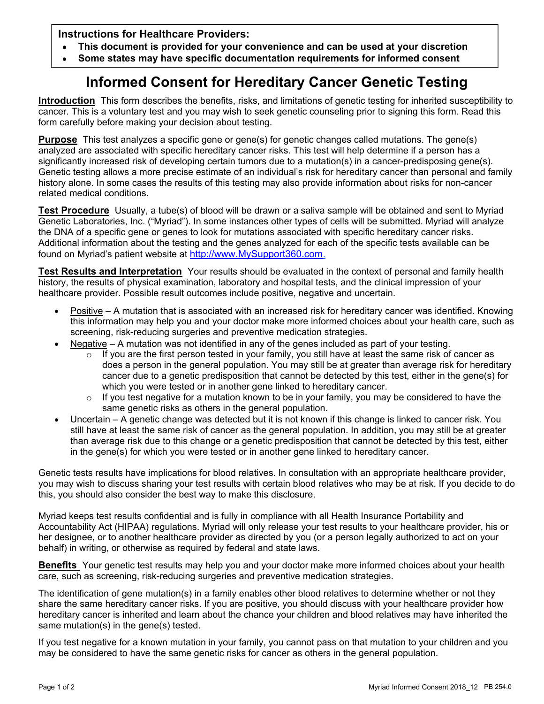**Instructions for Healthcare Providers:** 

- **This document is provided for your convenience and can be used at your discretion**  $\bullet$
- **Some states may have specific documentation requirements for informed consent**

## **Informed Consent for Hereditary Cancer Genetic Testing**

**Introduction** This form describes the benefits, risks, and limitations of genetic testing for inherited susceptibility to cancer. This is a voluntary test and you may wish to seek genetic counseling prior to signing this form. Read this form carefully before making your decision about testing.

**Purpose** This test analyzes a specific gene or gene(s) for genetic changes called mutations. The gene(s) analyzed are associated with specific hereditary cancer risks. This test will help determine if a person has a significantly increased risk of developing certain tumors due to a mutation(s) in a cancer-predisposing gene(s). Genetic testing allows a more precise estimate of an individual's risk for hereditary cancer than personal and family history alone. In some cases the results of this testing may also provide information about risks for non-cancer related medical conditions.

**Test Procedure** Usually, a tube(s) of blood will be drawn or a saliva sample will be obtained and sent to Myriad Genetic Laboratories, Inc. ("Myriad"). In some instances other types of cells will be submitted. Myriad will analyze the DNA of a specific gene or genes to look for mutations associated with specific hereditary cancer risks. Additional information about the testing and the genes analyzed for each of the specific tests available can be found on Myriad's patient website at http://www.MySupport360.com.

**Test Results and Interpretation** Your results should be evaluated in the context of personal and family health history, the results of physical examination, laboratory and hospital tests, and the clinical impression of your healthcare provider. Possible result outcomes include positive, negative and uncertain.

- Positive A mutation that is associated with an increased risk for hereditary cancer was identified. Knowing this information may help you and your doctor make more informed choices about your health care, such as screening, risk-reducing surgeries and preventive medication strategies.
- Negative A mutation was not identified in any of the genes included as part of your testing.
	- $\circ$  If you are the first person tested in your family, you still have at least the same risk of cancer as does a person in the general population. You may still be at greater than average risk for hereditary cancer due to a genetic predisposition that cannot be detected by this test, either in the gene(s) for which you were tested or in another gene linked to hereditary cancer.
	- $\circ$  If you test negative for a mutation known to be in your family, you may be considered to have the same genetic risks as others in the general population.
- Uncertain A genetic change was detected but it is not known if this change is linked to cancer risk. You still have at least the same risk of cancer as the general population. In addition, you may still be at greater than average risk due to this change or a genetic predisposition that cannot be detected by this test, either in the gene(s) for which you were tested or in another gene linked to hereditary cancer.

Genetic tests results have implications for blood relatives. In consultation with an appropriate healthcare provider, you may wish to discuss sharing your test results with certain blood relatives who may be at risk. If you decide to do this, you should also consider the best way to make this disclosure.

Myriad keeps test results confidential and is fully in compliance with all Health Insurance Portability and Accountability Act (HIPAA) regulations. Myriad will only release your test results to your healthcare provider, his or her designee, or to another healthcare provider as directed by you (or a person legally authorized to act on your behalf) in writing, or otherwise as required by federal and state laws.

**Benefits** Your genetic test results may help you and your doctor make more informed choices about your health care, such as screening, risk-reducing surgeries and preventive medication strategies.

The identification of gene mutation(s) in a family enables other blood relatives to determine whether or not they share the same hereditary cancer risks. If you are positive, you should discuss with your healthcare provider how hereditary cancer is inherited and learn about the chance your children and blood relatives may have inherited the same mutation(s) in the gene(s) tested.

If you test negative for a known mutation in your family, you cannot pass on that mutation to your children and you may be considered to have the same genetic risks for cancer as others in the general population.